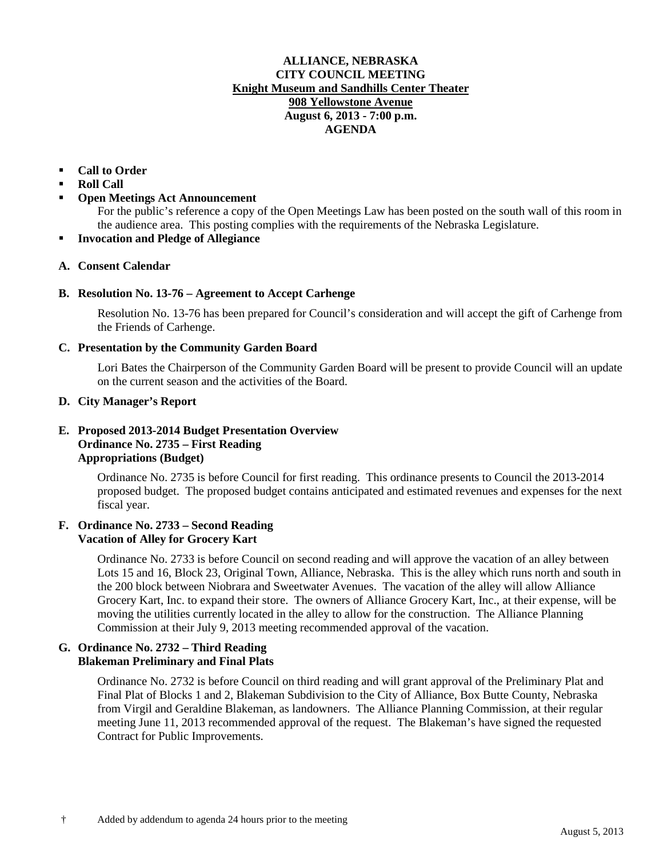### **ALLIANCE, NEBRASKA CITY COUNCIL MEETING Knight Museum and Sandhills Center Theater 908 Yellowstone Avenue August 6, 2013 - 7:00 p.m. AGENDA**

# **Call to Order**

- **Roll Call**
- **Open Meetings Act Announcement**

For the public's reference a copy of the Open Meetings Law has been posted on the south wall of this room in the audience area. This posting complies with the requirements of the Nebraska Legislature.

**Invocation and Pledge of Allegiance**

# **A. Consent Calendar**

# **B. Resolution No. 13-76 – Agreement to Accept Carhenge**

Resolution No. 13-76 has been prepared for Council's consideration and will accept the gift of Carhenge from the Friends of Carhenge.

## **C. Presentation by the Community Garden Board**

Lori Bates the Chairperson of the Community Garden Board will be present to provide Council will an update on the current season and the activities of the Board.

## **D. City Manager's Report**

# **E. Proposed 2013-2014 Budget Presentation Overview Ordinance No. 2735 – First Reading Appropriations (Budget)**

Ordinance No. 2735 is before Council for first reading. This ordinance presents to Council the 2013-2014 proposed budget. The proposed budget contains anticipated and estimated revenues and expenses for the next fiscal year.

#### **F. Ordinance No. 2733 – Second Reading Vacation of Alley for Grocery Kart**

Ordinance No. 2733 is before Council on second reading and will approve the vacation of an alley between Lots 15 and 16, Block 23, Original Town, Alliance, Nebraska. This is the alley which runs north and south in the 200 block between Niobrara and Sweetwater Avenues. The vacation of the alley will allow Alliance Grocery Kart, Inc. to expand their store. The owners of Alliance Grocery Kart, Inc., at their expense, will be moving the utilities currently located in the alley to allow for the construction. The Alliance Planning Commission at their July 9, 2013 meeting recommended approval of the vacation.

## **G. Ordinance No. 2732 – Third Reading Blakeman Preliminary and Final Plats**

Ordinance No. 2732 is before Council on third reading and will grant approval of the Preliminary Plat and Final Plat of Blocks 1 and 2, Blakeman Subdivision to the City of Alliance, Box Butte County, Nebraska from Virgil and Geraldine Blakeman, as landowners. The Alliance Planning Commission, at their regular meeting June 11, 2013 recommended approval of the request. The Blakeman's have signed the requested Contract for Public Improvements.